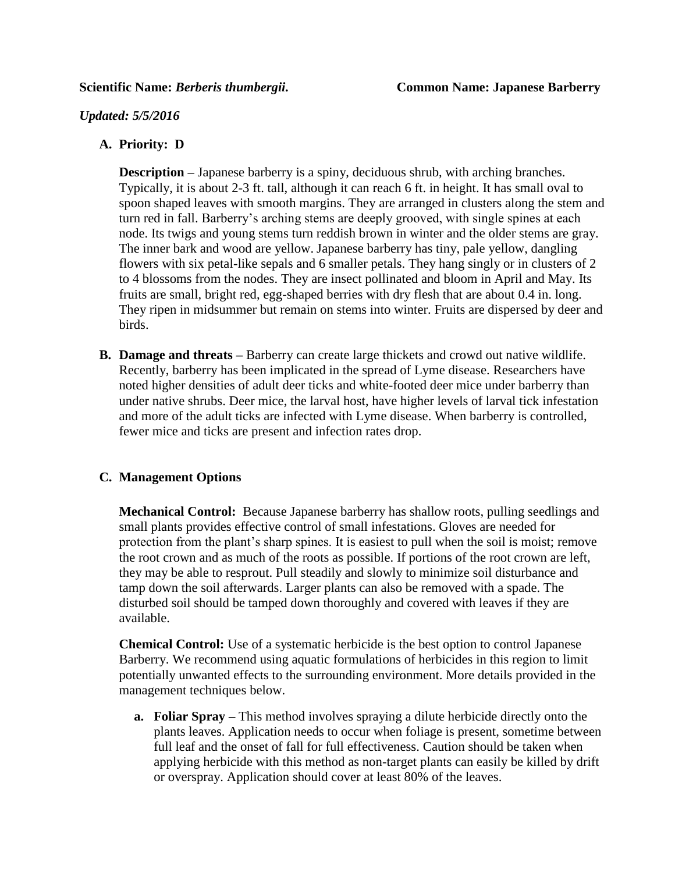### *Updated: 5/5/2016*

## **A. Priority: D**

**Description –** Japanese barberry is a spiny, deciduous shrub, with arching branches. Typically, it is about 2-3 ft. tall, although it can reach 6 ft. in height. It has small oval to spoon shaped leaves with smooth margins. They are arranged in clusters along the stem and turn red in fall. Barberry's arching stems are deeply grooved, with single spines at each node. Its twigs and young stems turn reddish brown in winter and the older stems are gray. The inner bark and wood are yellow. Japanese barberry has tiny, pale yellow, dangling flowers with six petal-like sepals and 6 smaller petals. They hang singly or in clusters of 2 to 4 blossoms from the nodes. They are insect pollinated and bloom in April and May. Its fruits are small, bright red, egg-shaped berries with dry flesh that are about 0.4 in. long. They ripen in midsummer but remain on stems into winter. Fruits are dispersed by deer and birds.

**B. Damage and threats –** Barberry can create large thickets and crowd out native wildlife. Recently, barberry has been implicated in the spread of Lyme disease. Researchers have noted higher densities of adult deer ticks and white-footed deer mice under barberry than under native shrubs. Deer mice, the larval host, have higher levels of larval tick infestation and more of the adult ticks are infected with Lyme disease. When barberry is controlled, fewer mice and ticks are present and infection rates drop.

# **C. Management Options**

**Mechanical Control:** Because Japanese barberry has shallow roots, pulling seedlings and small plants provides effective control of small infestations. Gloves are needed for protection from the plant's sharp spines. It is easiest to pull when the soil is moist; remove the root crown and as much of the roots as possible. If portions of the root crown are left, they may be able to resprout. Pull steadily and slowly to minimize soil disturbance and tamp down the soil afterwards. Larger plants can also be removed with a spade. The disturbed soil should be tamped down thoroughly and covered with leaves if they are available.

**Chemical Control:** Use of a systematic herbicide is the best option to control Japanese Barberry. We recommend using aquatic formulations of herbicides in this region to limit potentially unwanted effects to the surrounding environment. More details provided in the management techniques below.

**a. Foliar Spray –** This method involves spraying a dilute herbicide directly onto the plants leaves. Application needs to occur when foliage is present, sometime between full leaf and the onset of fall for full effectiveness. Caution should be taken when applying herbicide with this method as non-target plants can easily be killed by drift or overspray. Application should cover at least 80% of the leaves.